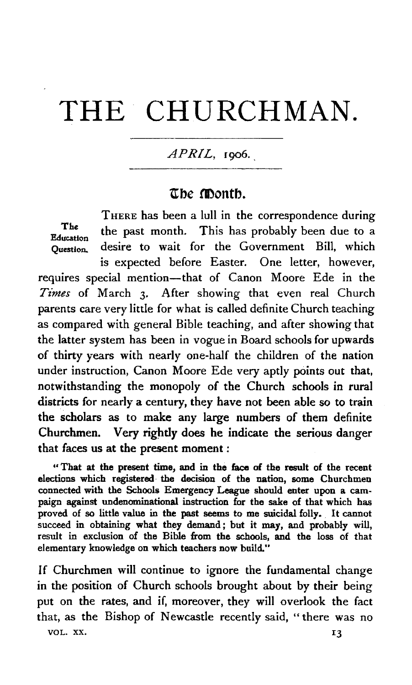# THE CHURCHMAN.

# $APRIL$ , 1906.

# The Month.

The **Education** Question. THERE has been a lull in the correspondence during the past month. This has probably been due to a desire to wait for the Government Bill, which is expected before Easter. One letter, however, requires special mention-that of Canon Moore Ede in the Times of March 3. After showing that even real Church parents care very little for what is called definite Church teaching as compared with general Bible teaching, and after showing that the latter system has been in vogue in Board schools for upwards of thirty years with nearly one-half the children of the nation under instruction, Canon Moore Ede very aptly points out that, notwithstanding the monopoly of the Church schools in rural districts for nearly a century, they have not been able so to train the scholars as to make any large numbers of them definite Churchmen. Very righdy does he indicate the serious danger that faces us at the present moment :

" That at the present time, and in the face of the result of the recent elections which registered· the decision of the nation, some Churchmen connected with the Schools Emergency League should enter upon a campaign against undenominational instruction for the sake of that which has proved of so little value in the past seems to me suicidal folly. It cannot succeed in obtaining what they demand; but it may, and probably will, result in exclusion of the Bible from the schools, and the loss of that elementary knowledge on which teachers now build."

If Churchmen will continue to ignore the fundamental change in the position of Church schools brought about by their being put on the rates, and if, moreover, they will overlook the fact that, as the Bishop of Newcastle recently said, "there was no VOL. XX.  $13$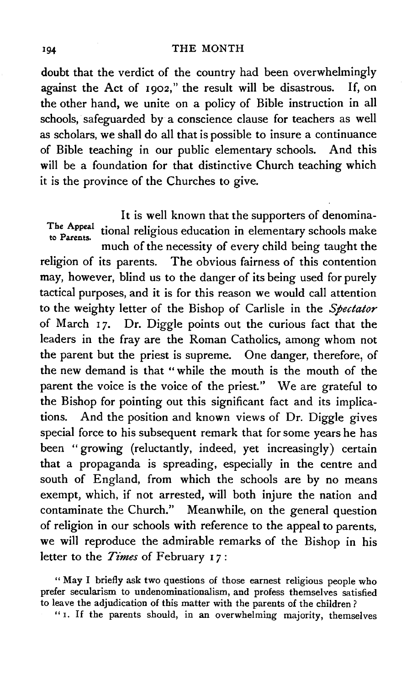doubt that the verdict of the country had been overwhelmingly against the Act of 1902," the result will be disastrous. If, on the other hand, we unite on a policy of Bible instruction in all schools, safeguarded by a conscience clause for teachers as well as scholars, we shall do all that is possible to insure a continuance of Bible teaching in our public elementary schools. And this will be a foundation for that distinctive Church teaching which it is the province of the Churches to give.

It is well known that the supporters of denomina-The Appeal tional religious education in elementary schools make to Parents. much of the necessity of every child being taught the religion of its parents. The obvious fairness of this contention may, however, blind us to the danger of its being used for purely tactical purposes, and it is for this reason we would call attention to the weighty letter of the Bishop of Carlisle in the *Spectator*  of March 17. Dr. Diggle points out the curious fact that the leaders in the fray are the Roman Catholics, among whom not the parent but the priest is supreme. One danger, therefore, of the new demand is that "while the mouth is the mouth of the parent the voice is the voice of the priest." We are grateful to the Bishop for pointing out this significant fact and its implications. And the position and known views of Dr. Diggle gives special force to his subsequent remark that for some years he has been "growing (reluctantly, indeed, yet increasingly) certain that a propaganda is spreading, especially in the centre and south of England, from which the schools are by no means exempt, which, if not arrested, will both injure the nation and contaminate the Church." Meanwhile, on the general question of religion in our schools with reference to the appeal to parents, we will reproduce the admirable remarks of the Bishop in his letter to the *Times* of February 17:

" May I briefly ask two questions of those earnest religious people who prefer secularism to undenominationalism, and profess themselves satisfied to leave the adjudication of this matter with the parents of the children ?

"1. If the parents should, in an overwhelming majority, themselves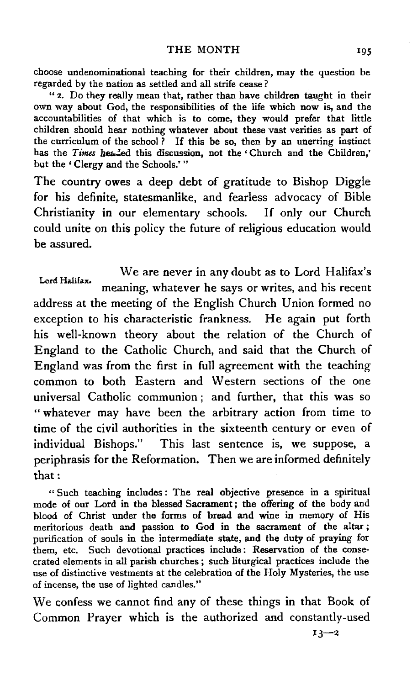choose undenominational teaching for their children, may the question be regarded by the nation as settled and all strife cease ?

" 2. Do they really mean that, rather than have children taught in their own way about God, the responsibilities of the life which now is, and the accountabilities of that which is to come, they would prefer that little children should hear nothing whatever about these vast verities as part of the curriculum of the school ? If this be so, then by an unerring instinct has the *Times* headed this discussion, not the 'Church and the Children,' but the • Clergy and the Schools.' "

The country owes a deep debt of gratitude to Bishop Diggle for his definite, statesmanlike, and fearless advocacy of Bible Christianity in our elementary schools. If only our Church could unite on this policy the future of religious education would be assured.

We are never in any doubt as to Lord Halifax's Lord Halifax. meaning, whatever he says or writes, and his recent address at the meeting of the English Church Union formed no exception to his characteristic frankness. He again put forth his well-known theory about the relation of the Church of England to the Catholic Church, and said that the Church of England was from the first in full agreement with the teaching common to both Eastern and Western sections of the one universal Catholic communion ; and further, that this was so " whatever may have been the arbitrary action from time to time of the civil authorities in the sixteenth century or even of individual Bishops." This last sentence is, we suppose, a periphrasis for the Reformation. Then we are informed definitely that:

" Such teaching includes : The real objective presence in a spiritual mode of our Lord in the blessed Sacrament ; the offering of the body and blood of Christ under the forms of bread and wine in memory of His meritorious death and passion to God in the sacrament of the altar ; purification of souls in the intermediate state, and the duty of praying for them, etc. Such devotional practices include: Reservation of the consecrated elements in all parish churches ; such liturgical practices include the use of distinctive vestments at the celebration of the Holy Mysteries, the use of incense, the use of lighted candles."

We confess we cannot find any of these things in that Book of Common Prayer which is the authorized and constantly-used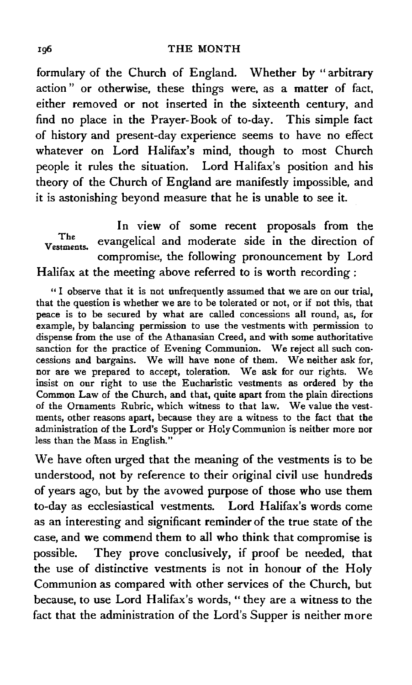# Ig6 THE MONTH

formulary of the Church of England. Whether by "arbitrary action " or otherwise, these things were, as a matter of fact, either removed or not inserted in the sixteenth century, and find no place in the Prayer-Book of to-day. This simple fact of history and present-day experience seems to have no effect whatever on Lord Halifax's mind, though to most Church people it rules the situation. Lord Halifax's position and his theory of the Church of England are manifestly impossible, and it is astonishing beyond measure that he is unable to see it.

In view of some recent proposals from the The evangelical and moderate side in the direction of compromise, the following pronouncement by Lord Halifax at the meeting above referred to is worth recording :

" I observe that it is not unfrequently assumed that we are on our trial, that the question is whether we are to be tolerated or not, or if not this, that peace is to be secured by what are called concessions all round, as, for example, by balancing permission to use the vestments with permission to dispense from the use of the Athanasian Creed, and with some authoritative sanction for the practice of Evening Communion. We reject all such concessions and bargains. We will have none of them. We neither ask for, nor are we prepared to accept, toleration. We ask for our rights. We insist on our right to use the Eucharistic vestments as ordered by the Common Law of the Church, and that, quite apart from the plain directions of the Ornaments Rubric, which witness to that law. We value the vestments, other reasons apart, because they are a witness to the fact that the administration of the Lord's Supper or Holy Communion is neither more nor less than the Mass in English."

We have often urged that the meaning of the vestments is to be understood, not by reference to their original civil use hundreds of years ago, but by the avowed purpose of those who use them to-day as ecclesiastical vestments. Lord Halifax's words come as an interesting and significant reminder of the true state of the case, and we commend them to all who think that compromise is possible. They prove conclusively, if proof be needed, that the use of distinctive vestments is not in honour of the Holy Communion as compared with other services of the Church, but because, to use Lord Halifax's words," they are a witness to the fact that the administration of the Lord's Supper is neither more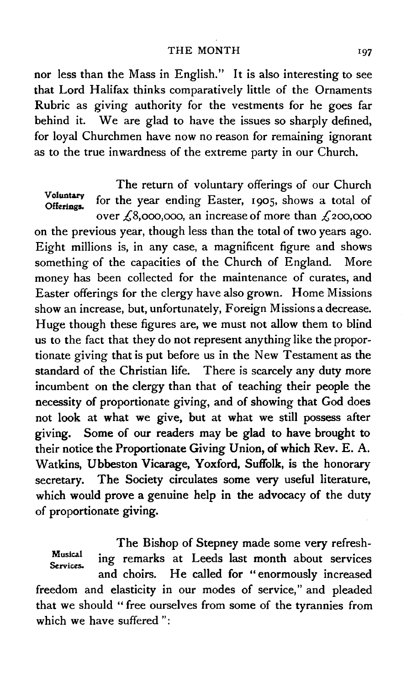nor less than the Mass in English." It is also interesting to see that Lord Halifax thinks comparatively little of the Ornaments Rubric as giving authority for the vestments for he goes far behind it. We are glad to have the issues so sharply defined, for loyal Churchmen have now no reason for remaining ignorant as to the true inwardness of the extreme party in our Church.

The return of voluntary offerings of our Church Voluntary for the year ending Easter, 1905, shows a total of over  $\zeta$ 8,000,000, an increase of more than  $\zeta$ 200,000 on the previous year, though less than the total of two years ago. Eight millions is, in any case, a magnificent figure and shows something of the capacities of the Church of England. More money has been collected for the maintenance of curates, and Easter offerings for the clergy have also grown. Home Missions show an increase, but, unfortunately, Foreign Missions a decrease. Huge though these figures are, we must not allow them to blind us to the fact that they do not represent anything like the proportionate giving that is put before us in the New Testament as the standard of the Christian life. There is scarcely any duty more incumbent on the clergy than that of teaching their people the necessity of proportionate giving, and of showing that God does not look at what we give, but at what we still possess after giving. Some of our readers may be glad to have brought to their notice the Proportionate Giving Union, of which Rev. E. A. Watkins, Ubbeston Vicarage, Yoxford, Suffolk, is the honorary secretary. The Society circulates some very useful literature, which would prove a genuine help in the advocacy of the duty of proportionate giving.

The Bishop of Stepney made some very refresh-Musical ing remarks at Leeds last month about services Services. and choirs. He called for "enormously increased freedom and elasticity in our modes of service," and pleaded that we should " free ourselves from some of the tyrannies from which we have suffered ":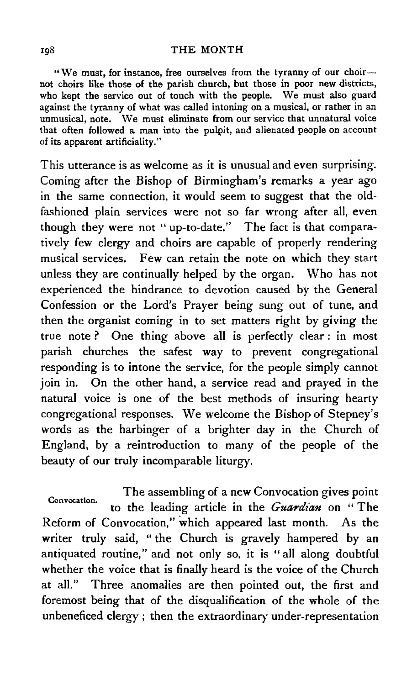"We must, for instance, free ourselves from the tyranny of our choirnot choirs like those of the parish church, but those in poor new districts, who kept the service out of touch with the people. We must also guard against the tyranny of what was called intoning on a musical, or rather in an unmusical, note. We must eliminate from our service that unnatural voice that often followed a man into the pulpit, and alienated people on account of its apparent artificiality."

This utterance is as welcome as it is unusual and even surprising. Coming after the Bishop of Birmingham's remarks a year ago in the same connection, it would seem to suggest that the oldfashioned plain services were not so far wrong after all, even though they were not "up-to-date." The fact is that comparatively few clergy and choirs are capable of properly rendering musical services. Few can retain the note on which they start unless they are continually helped by the organ. Who has not experienced the hindrance to devotion caused by the General Confession or the Lord's Prayer being sung out of tune, and then the organist coming in to set matters right by giving the true note ? One thing above all is perfectly clear : in most parish churches the safest way to prevent congregational responding is to intone the service, for the people simply cannot join in. On the other hand, a service read and prayed in the natural voice is one of the best methods of insuring hearty congregational responses. We welcome the Bishop of Stepney's words as the harbinger of a brighter day in the Church of England, by a reintroduction to many of the people of the beauty of our truly incomparable liturgy.

The assembling of a new Convocation gives point Convocation. to the leading article in the *Guardian* on " The Reform of Convocation," which appeared last month. As the writer truly said, "the Church is gravely hampered by an antiquated routine," and not only so, it is " all along doubtful whether the voice that is finally heard is the voice of the Church at all." Three anomalies are then pointed out, the first and foremost being that of the disqualification of the whole of the unbeneficed clergy; then the extraordinary under-representation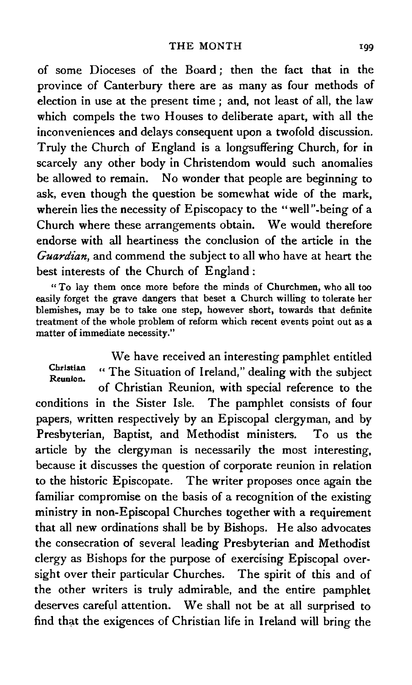of some Dioceses of the Board ; then the fact that in the province of Canterbury there are as many as four methods of election in use at the present time ; and, not least of all, the law which compels the two Houses to deliberate apart, with all the inconveniences and delays consequent upon a twofold discussion. Truly the Church of England is a longsuffering Church, for in scarcely any other body in Christendom would such anomalies be allowed to remain. No wonder that people are beginning to ask, even though the question be somewhat wide of the mark, wherein lies the necessity of Episcopacy to the "well"-being of a Church where these arrangements obtain. We would therefore endorse with all heartiness the conclusion of the article in the Guardian, and commend the subject to all who have at heart the best interests of the Church of England :

"To lay them once more before the minds of Churchmen, who all too easily forget the grave dangers that beset a Church willing to tolerate her blemishes, may be to take one step, however short, towards that definite treatment of the whole problem of reform which recent events point out as a matter of immediate necessity."

We have received an interesting pamphlet entitled Christian "The Situation of Ireland," dealing with the subject of Christian Reunion, with special reference to the conditions in the Sister Isle. The pamphlet consists of four papers, written respectively by an Episcopal clergyman, and by Presbyterian, Baptist, and Methodist ministers. To us the article by the clergyman is necessarily the most interesting, because it discusses the question of corporate reunion in relation to the historic Episcopate. The writer proposes once again the familiar compromise on the basis of a recognition of the existing ministry in non-Episcopal Churches together with a requirement that all new ordinations shall be by Bishops. He also advocates the consecration of several leading Presbyterian and Methodist clergy as Bishops for the purpose of exercising Episcopal oversight over their particular Churches. The spirit of this and of the other writers is truly admirable, and the entire pamphlet deserves careful attention. We shall not be at all surprised to find that the exigences of Christian life in Ireland will bring the